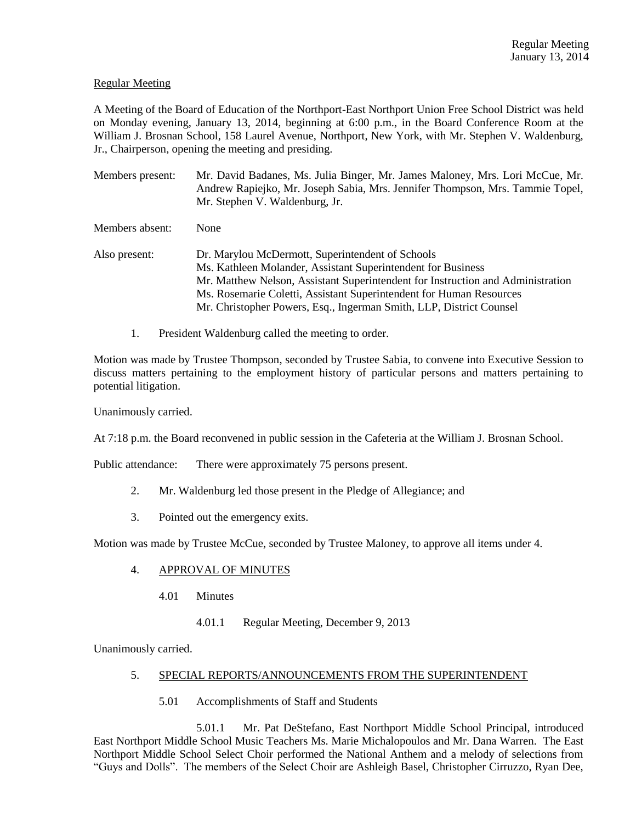## Regular Meeting

A Meeting of the Board of Education of the Northport-East Northport Union Free School District was held on Monday evening, January 13, 2014, beginning at 6:00 p.m., in the Board Conference Room at the William J. Brosnan School, 158 Laurel Avenue, Northport, New York, with Mr. Stephen V. Waldenburg, Jr., Chairperson, opening the meeting and presiding.

Members present: Mr. David Badanes, Ms. Julia Binger, Mr. James Maloney, Mrs. Lori McCue, Mr. Andrew Rapiejko, Mr. Joseph Sabia, Mrs. Jennifer Thompson, Mrs. Tammie Topel, Mr. Stephen V. Waldenburg, Jr.

Members absent: None

Also present: Dr. Marylou McDermott, Superintendent of Schools Ms. Kathleen Molander, Assistant Superintendent for Business Mr. Matthew Nelson, Assistant Superintendent for Instruction and Administration Ms. Rosemarie Coletti, Assistant Superintendent for Human Resources Mr. Christopher Powers, Esq., Ingerman Smith, LLP, District Counsel

1. President Waldenburg called the meeting to order.

Motion was made by Trustee Thompson, seconded by Trustee Sabia, to convene into Executive Session to discuss matters pertaining to the employment history of particular persons and matters pertaining to potential litigation.

Unanimously carried.

At 7:18 p.m. the Board reconvened in public session in the Cafeteria at the William J. Brosnan School.

Public attendance: There were approximately 75 persons present.

- 2. Mr. Waldenburg led those present in the Pledge of Allegiance; and
- 3. Pointed out the emergency exits.

Motion was made by Trustee McCue, seconded by Trustee Maloney, to approve all items under 4.

#### 4. APPROVAL OF MINUTES

- 4.01 Minutes
	- 4.01.1 Regular Meeting, December 9, 2013

Unanimously carried.

## 5. SPECIAL REPORTS/ANNOUNCEMENTS FROM THE SUPERINTENDENT

5.01 Accomplishments of Staff and Students

5.01.1 Mr. Pat DeStefano, East Northport Middle School Principal, introduced East Northport Middle School Music Teachers Ms. Marie Michalopoulos and Mr. Dana Warren. The East Northport Middle School Select Choir performed the National Anthem and a melody of selections from "Guys and Dolls". The members of the Select Choir are Ashleigh Basel, Christopher Cirruzzo, Ryan Dee,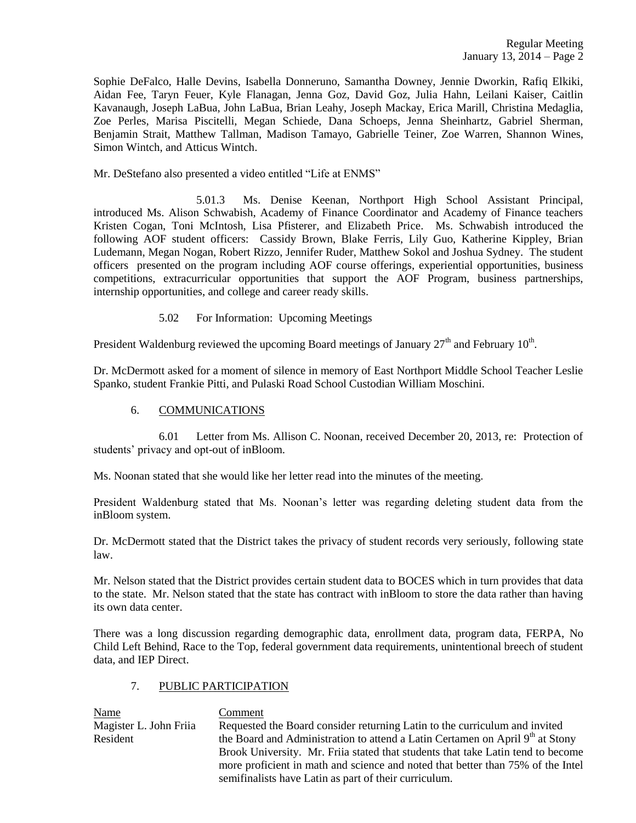Sophie DeFalco, Halle Devins, Isabella Donneruno, Samantha Downey, Jennie Dworkin, Rafiq Elkiki, Aidan Fee, Taryn Feuer, Kyle Flanagan, Jenna Goz, David Goz, Julia Hahn, Leilani Kaiser, Caitlin Kavanaugh, Joseph LaBua, John LaBua, Brian Leahy, Joseph Mackay, Erica Marill, Christina Medaglia, Zoe Perles, Marisa Piscitelli, Megan Schiede, Dana Schoeps, Jenna Sheinhartz, Gabriel Sherman, Benjamin Strait, Matthew Tallman, Madison Tamayo, Gabrielle Teiner, Zoe Warren, Shannon Wines, Simon Wintch, and Atticus Wintch.

Mr. DeStefano also presented a video entitled "Life at ENMS"

5.01.3 Ms. Denise Keenan, Northport High School Assistant Principal, introduced Ms. Alison Schwabish, Academy of Finance Coordinator and Academy of Finance teachers Kristen Cogan, Toni McIntosh, Lisa Pfisterer, and Elizabeth Price. Ms. Schwabish introduced the following AOF student officers: Cassidy Brown, Blake Ferris, Lily Guo, Katherine Kippley, Brian Ludemann, Megan Nogan, Robert Rizzo, Jennifer Ruder, Matthew Sokol and Joshua Sydney. The student officers presented on the program including AOF course offerings, experiential opportunities, business competitions, extracurricular opportunities that support the AOF Program, business partnerships, internship opportunities, and college and career ready skills.

## 5.02 For Information: Upcoming Meetings

President Waldenburg reviewed the upcoming Board meetings of January  $27<sup>th</sup>$  and February  $10<sup>th</sup>$ .

Dr. McDermott asked for a moment of silence in memory of East Northport Middle School Teacher Leslie Spanko, student Frankie Pitti, and Pulaski Road School Custodian William Moschini.

# 6. COMMUNICATIONS

6.01 Letter from Ms. Allison C. Noonan, received December 20, 2013, re: Protection of students' privacy and opt-out of inBloom.

Ms. Noonan stated that she would like her letter read into the minutes of the meeting.

President Waldenburg stated that Ms. Noonan's letter was regarding deleting student data from the inBloom system.

Dr. McDermott stated that the District takes the privacy of student records very seriously, following state law.

Mr. Nelson stated that the District provides certain student data to BOCES which in turn provides that data to the state. Mr. Nelson stated that the state has contract with inBloom to store the data rather than having its own data center.

There was a long discussion regarding demographic data, enrollment data, program data, FERPA, No Child Left Behind, Race to the Top, federal government data requirements, unintentional breech of student data, and IEP Direct.

## 7. PUBLIC PARTICIPATION

Name Comment

Magister L. John Friia Requested the Board consider returning Latin to the curriculum and invited Resident the Board and Administration to attend a Latin Certamen on April  $9<sup>th</sup>$  at Stony Brook University. Mr. Friia stated that students that take Latin tend to become more proficient in math and science and noted that better than 75% of the Intel semifinalists have Latin as part of their curriculum.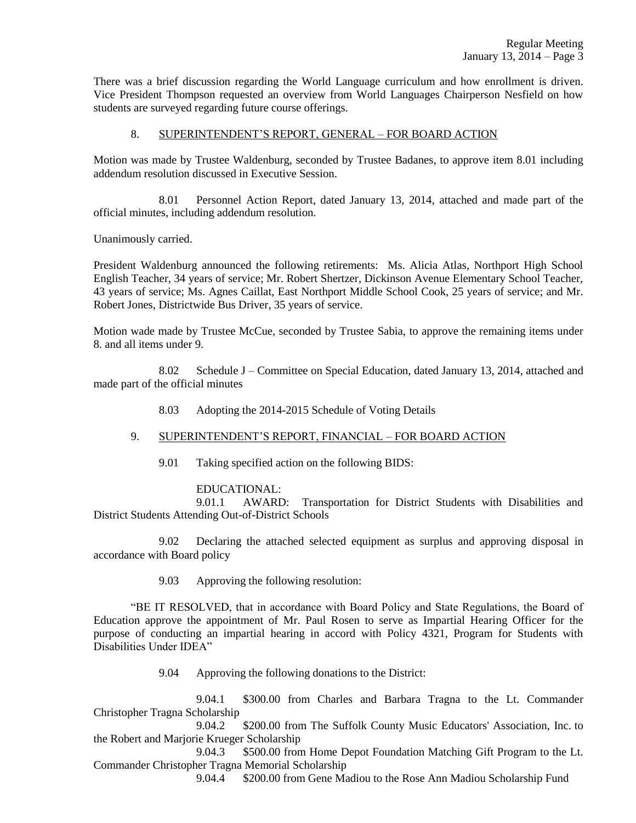There was a brief discussion regarding the World Language curriculum and how enrollment is driven. Vice President Thompson requested an overview from World Languages Chairperson Nesfield on how students are surveyed regarding future course offerings.

# 8. SUPERINTENDENT'S REPORT, GENERAL – FOR BOARD ACTION

Motion was made by Trustee Waldenburg, seconded by Trustee Badanes, to approve item 8.01 including addendum resolution discussed in Executive Session.

8.01 Personnel Action Report, dated January 13, 2014, attached and made part of the official minutes, including addendum resolution.

Unanimously carried.

President Waldenburg announced the following retirements: Ms. Alicia Atlas, Northport High School English Teacher, 34 years of service; Mr. Robert Shertzer, Dickinson Avenue Elementary School Teacher, 43 years of service; Ms. Agnes Caillat, East Northport Middle School Cook, 25 years of service; and Mr. Robert Jones, Districtwide Bus Driver, 35 years of service.

Motion wade made by Trustee McCue, seconded by Trustee Sabia, to approve the remaining items under 8. and all items under 9.

8.02 Schedule J – Committee on Special Education, dated January 13, 2014, attached and made part of the official minutes

8.03 Adopting the 2014-2015 Schedule of Voting Details

## 9. SUPERINTENDENT'S REPORT, FINANCIAL – FOR BOARD ACTION

9.01 Taking specified action on the following BIDS:

## EDUCATIONAL:

9.01.1 AWARD: Transportation for District Students with Disabilities and District Students Attending Out-of-District Schools

9.02 Declaring the attached selected equipment as surplus and approving disposal in accordance with Board policy

9.03 Approving the following resolution:

"BE IT RESOLVED, that in accordance with Board Policy and State Regulations, the Board of Education approve the appointment of Mr. Paul Rosen to serve as Impartial Hearing Officer for the purpose of conducting an impartial hearing in accord with Policy 4321, Program for Students with Disabilities Under IDEA"

9.04 Approving the following donations to the District:

9.04.1 \$300.00 from Charles and Barbara Tragna to the Lt. Commander Christopher Tragna Scholarship

9.04.2 \$200.00 from The Suffolk County Music Educators' Association, Inc. to the Robert and Marjorie Krueger Scholarship

9.04.3 \$500.00 from Home Depot Foundation Matching Gift Program to the Lt. Commander Christopher Tragna Memorial Scholarship

9.04.4 \$200.00 from Gene Madiou to the Rose Ann Madiou Scholarship Fund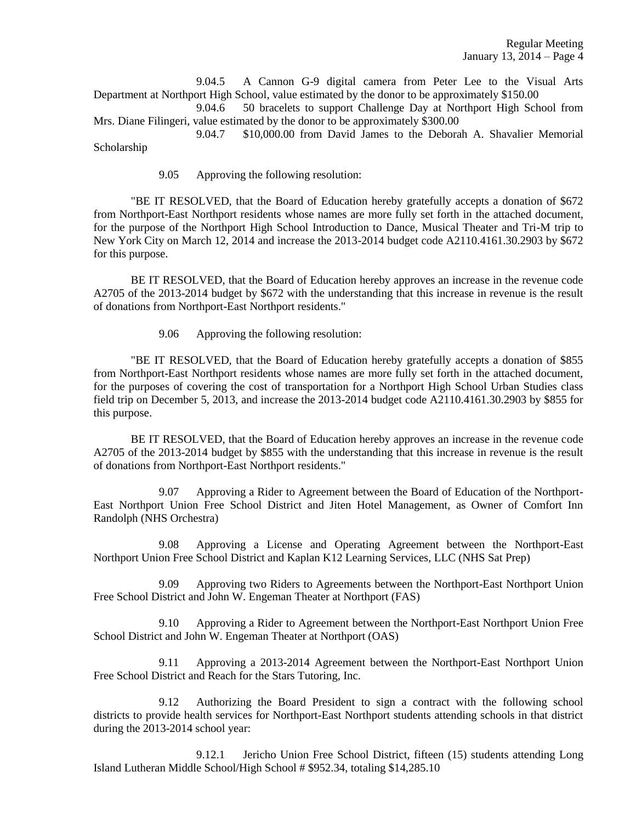9.04.5 A Cannon G-9 digital camera from Peter Lee to the Visual Arts Department at Northport High School, value estimated by the donor to be approximately \$150.00

9.04.6 50 bracelets to support Challenge Day at Northport High School from Mrs. Diane Filingeri, value estimated by the donor to be approximately \$300.00

9.04.7 \$10,000.00 from David James to the Deborah A. Shavalier Memorial Scholarship

9.05 Approving the following resolution:

"BE IT RESOLVED, that the Board of Education hereby gratefully accepts a donation of \$672 from Northport-East Northport residents whose names are more fully set forth in the attached document, for the purpose of the Northport High School Introduction to Dance, Musical Theater and Tri-M trip to New York City on March 12, 2014 and increase the 2013-2014 budget code A2110.4161.30.2903 by \$672 for this purpose.

BE IT RESOLVED, that the Board of Education hereby approves an increase in the revenue code A2705 of the 2013-2014 budget by \$672 with the understanding that this increase in revenue is the result of donations from Northport-East Northport residents."

9.06 Approving the following resolution:

"BE IT RESOLVED, that the Board of Education hereby gratefully accepts a donation of \$855 from Northport-East Northport residents whose names are more fully set forth in the attached document, for the purposes of covering the cost of transportation for a Northport High School Urban Studies class field trip on December 5, 2013, and increase the 2013-2014 budget code A2110.4161.30.2903 by \$855 for this purpose.

BE IT RESOLVED, that the Board of Education hereby approves an increase in the revenue code A2705 of the 2013-2014 budget by \$855 with the understanding that this increase in revenue is the result of donations from Northport-East Northport residents."

9.07 Approving a Rider to Agreement between the Board of Education of the Northport-East Northport Union Free School District and Jiten Hotel Management, as Owner of Comfort Inn Randolph (NHS Orchestra)

9.08 Approving a License and Operating Agreement between the Northport-East Northport Union Free School District and Kaplan K12 Learning Services, LLC (NHS Sat Prep)

9.09 Approving two Riders to Agreements between the Northport-East Northport Union Free School District and John W. Engeman Theater at Northport (FAS)

9.10 Approving a Rider to Agreement between the Northport-East Northport Union Free School District and John W. Engeman Theater at Northport (OAS)

9.11 Approving a 2013-2014 Agreement between the Northport-East Northport Union Free School District and Reach for the Stars Tutoring, Inc.

9.12 Authorizing the Board President to sign a contract with the following school districts to provide health services for Northport-East Northport students attending schools in that district during the 2013-2014 school year:

9.12.1 Jericho Union Free School District, fifteen (15) students attending Long Island Lutheran Middle School/High School # \$952.34, totaling \$14,285.10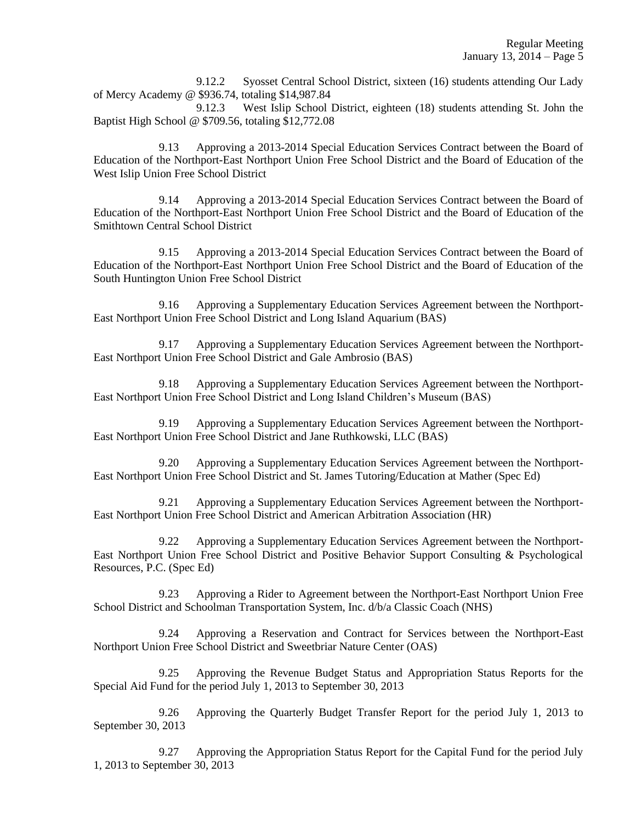9.12.2 Syosset Central School District, sixteen (16) students attending Our Lady of Mercy Academy @ \$936.74, totaling \$14,987.84

9.12.3 West Islip School District, eighteen (18) students attending St. John the Baptist High School @ \$709.56, totaling \$12,772.08

9.13 Approving a 2013-2014 Special Education Services Contract between the Board of Education of the Northport-East Northport Union Free School District and the Board of Education of the West Islip Union Free School District

9.14 Approving a 2013-2014 Special Education Services Contract between the Board of Education of the Northport-East Northport Union Free School District and the Board of Education of the Smithtown Central School District

9.15 Approving a 2013-2014 Special Education Services Contract between the Board of Education of the Northport-East Northport Union Free School District and the Board of Education of the South Huntington Union Free School District

9.16 Approving a Supplementary Education Services Agreement between the Northport-East Northport Union Free School District and Long Island Aquarium (BAS)

9.17 Approving a Supplementary Education Services Agreement between the Northport-East Northport Union Free School District and Gale Ambrosio (BAS)

9.18 Approving a Supplementary Education Services Agreement between the Northport-East Northport Union Free School District and Long Island Children's Museum (BAS)

9.19 Approving a Supplementary Education Services Agreement between the Northport-East Northport Union Free School District and Jane Ruthkowski, LLC (BAS)

9.20 Approving a Supplementary Education Services Agreement between the Northport-East Northport Union Free School District and St. James Tutoring/Education at Mather (Spec Ed)

9.21 Approving a Supplementary Education Services Agreement between the Northport-East Northport Union Free School District and American Arbitration Association (HR)

9.22 Approving a Supplementary Education Services Agreement between the Northport-East Northport Union Free School District and Positive Behavior Support Consulting & Psychological Resources, P.C. (Spec Ed)

9.23 Approving a Rider to Agreement between the Northport-East Northport Union Free School District and Schoolman Transportation System, Inc. d/b/a Classic Coach (NHS)

9.24 Approving a Reservation and Contract for Services between the Northport-East Northport Union Free School District and Sweetbriar Nature Center (OAS)

9.25 Approving the Revenue Budget Status and Appropriation Status Reports for the Special Aid Fund for the period July 1, 2013 to September 30, 2013

9.26 Approving the Quarterly Budget Transfer Report for the period July 1, 2013 to September 30, 2013

9.27 Approving the Appropriation Status Report for the Capital Fund for the period July 1, 2013 to September 30, 2013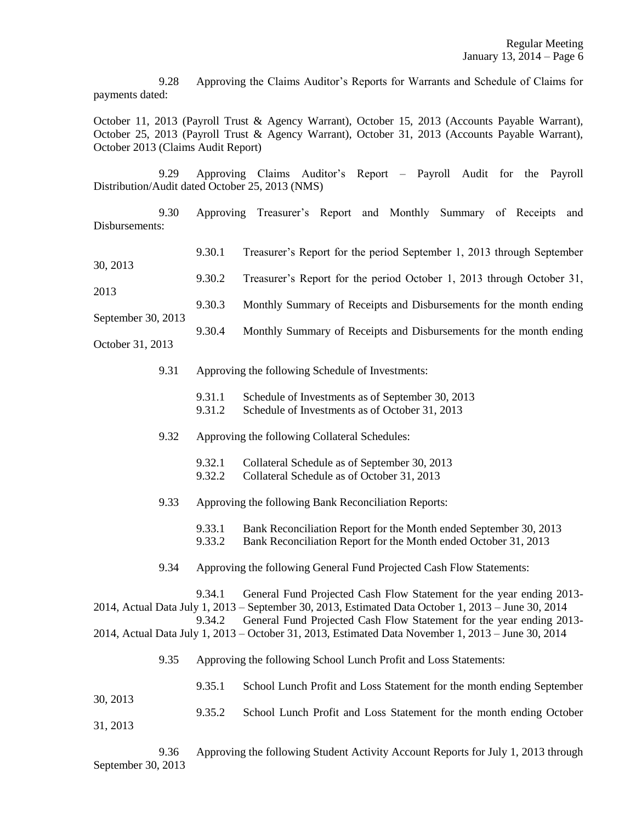9.28 Approving the Claims Auditor's Reports for Warrants and Schedule of Claims for payments dated:

October 11, 2013 (Payroll Trust & Agency Warrant), October 15, 2013 (Accounts Payable Warrant), October 25, 2013 (Payroll Trust & Agency Warrant), October 31, 2013 (Accounts Payable Warrant), October 2013 (Claims Audit Report)

9.29 Approving Claims Auditor's Report – Payroll Audit for the Payroll Distribution/Audit dated October 25, 2013 (NMS)

9.30 Approving Treasurer's Report and Monthly Summary of Receipts and Disbursements:

| 30, 2013                   |  | 9.30.1                                                           | Treasurer's Report for the period September 1, 2013 through September                                                                                                                                                                                                                                                                                     |  |
|----------------------------|--|------------------------------------------------------------------|-----------------------------------------------------------------------------------------------------------------------------------------------------------------------------------------------------------------------------------------------------------------------------------------------------------------------------------------------------------|--|
|                            |  | 9.30.2                                                           | Treasurer's Report for the period October 1, 2013 through October 31,                                                                                                                                                                                                                                                                                     |  |
| 2013<br>September 30, 2013 |  | 9.30.3                                                           | Monthly Summary of Receipts and Disbursements for the month ending                                                                                                                                                                                                                                                                                        |  |
|                            |  | 9.30.4                                                           | Monthly Summary of Receipts and Disbursements for the month ending                                                                                                                                                                                                                                                                                        |  |
| October 31, 2013           |  |                                                                  |                                                                                                                                                                                                                                                                                                                                                           |  |
| 9.31                       |  | Approving the following Schedule of Investments:                 |                                                                                                                                                                                                                                                                                                                                                           |  |
|                            |  | 9.31.1<br>9.31.2                                                 | Schedule of Investments as of September 30, 2013<br>Schedule of Investments as of October 31, 2013                                                                                                                                                                                                                                                        |  |
| 9.32                       |  | Approving the following Collateral Schedules:                    |                                                                                                                                                                                                                                                                                                                                                           |  |
|                            |  | 9.32.1<br>9.32.2                                                 | Collateral Schedule as of September 30, 2013<br>Collateral Schedule as of October 31, 2013                                                                                                                                                                                                                                                                |  |
| 9.33                       |  | Approving the following Bank Reconciliation Reports:             |                                                                                                                                                                                                                                                                                                                                                           |  |
|                            |  | 9.33.1<br>9.33.2                                                 | Bank Reconciliation Report for the Month ended September 30, 2013<br>Bank Reconciliation Report for the Month ended October 31, 2013                                                                                                                                                                                                                      |  |
| 9.34                       |  |                                                                  | Approving the following General Fund Projected Cash Flow Statements:                                                                                                                                                                                                                                                                                      |  |
|                            |  | 9.34.1<br>9.34.2                                                 | General Fund Projected Cash Flow Statement for the year ending 2013-<br>2014, Actual Data July 1, 2013 – September 30, 2013, Estimated Data October 1, 2013 – June 30, 2014<br>General Fund Projected Cash Flow Statement for the year ending 2013-<br>2014, Actual Data July 1, 2013 – October 31, 2013, Estimated Data November 1, 2013 – June 30, 2014 |  |
| 9.35                       |  | Approving the following School Lunch Profit and Loss Statements: |                                                                                                                                                                                                                                                                                                                                                           |  |
|                            |  | 9.35.1                                                           | School Lunch Profit and Loss Statement for the month ending September                                                                                                                                                                                                                                                                                     |  |
| 30, 2013                   |  | 9.35.2                                                           | School Lunch Profit and Loss Statement for the month ending October                                                                                                                                                                                                                                                                                       |  |
| 31, 2013                   |  |                                                                  |                                                                                                                                                                                                                                                                                                                                                           |  |

9.36 Approving the following Student Activity Account Reports for July 1, 2013 through September 30, 2013